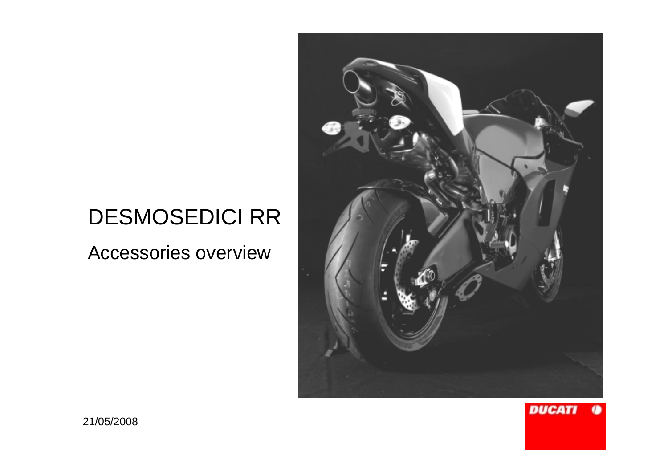# DESMOSEDICI RR

Accessories overview



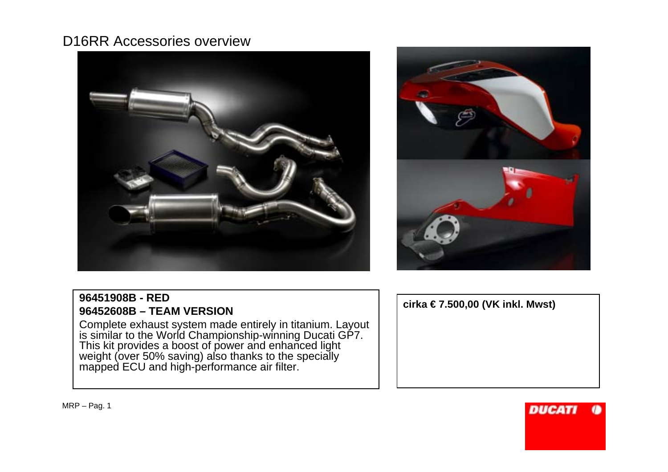



### **96451908B - RED96452608B – TEAM VERSION**

 Complete exhaust system made entirely in titanium. Layout is similar to the World Championship-winning Ducati GP7. This kit provides a boost of power and enhanced light weight (over 50% saving) also thanks to the specially mapped ECU and high-performance air filter.

**cirka € 7.500,00 (VK inkl. Mwst)**

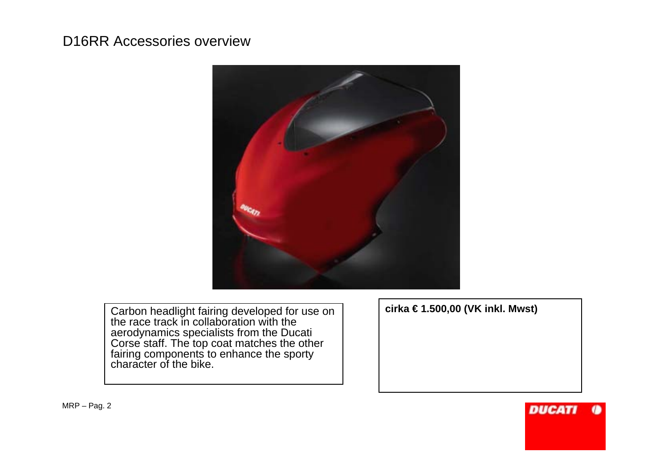

Carbon headlight fairing developed for use on the race track in collaboration with the aerodynamics specialists from the Ducati Corse staff. The top coat matches the other fairing components to enhance the sporty character of the bike.

**cirka € 1.500,00 (VK inkl. Mwst)**

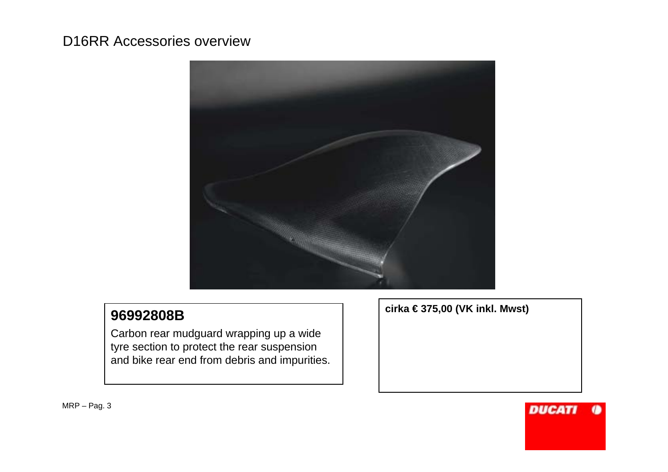

## **96992808B**

Carbon rear mudguard wrapping up a wide tyre section to protect the rear suspension and bike rear end from debris and impurities. **cirka € 375,00 (VK inkl. Mwst)**

**DUCAT**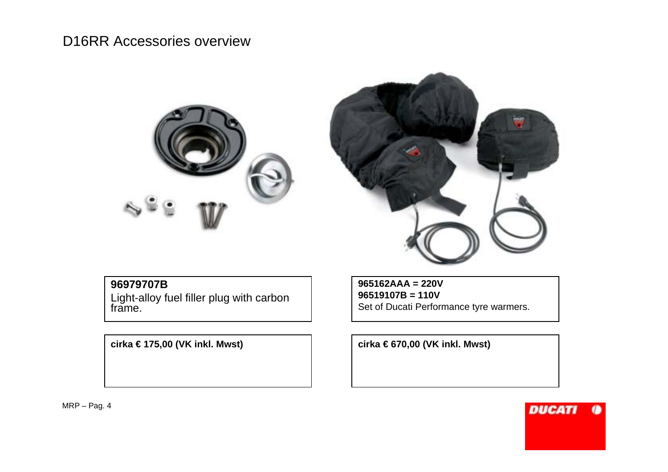



#### **96979707B**

Light-alloy fuel filler plug with carbon frame.

**965162AAA = 220V 96519107B = 110V**Set of Ducati Performance tyre warmers.

**cirka € 175,00 (VK inkl. Mwst) cirka € 670,00 (VK inkl. Mwst)**

MRP – Pag. 4

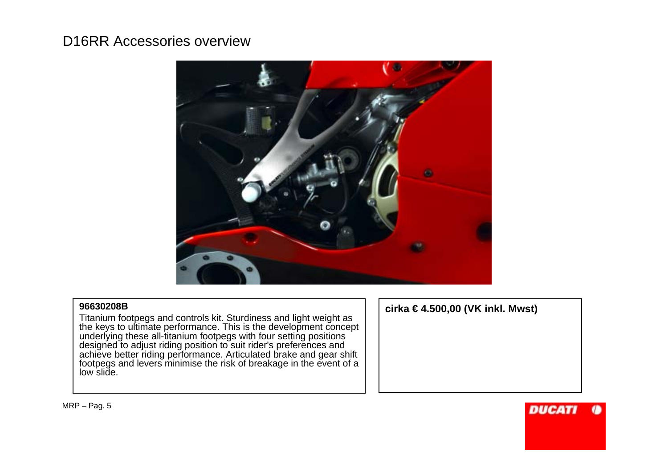

#### **96630208B**

 Titanium footpegs and controls kit. Sturdiness and light weight as the keys to ultimate performance. This is the development concept underlying these all-titanium footpegs with four setting positions designed to adjust riding position to suit rider's preferences and achieve better riding performance. Articulated brake and gear shift footpegs and levers minimise the risk of breakage in the event of a low slide.

**cirka € 4.500,00 (VK inkl. Mwst)**

**DUCAT**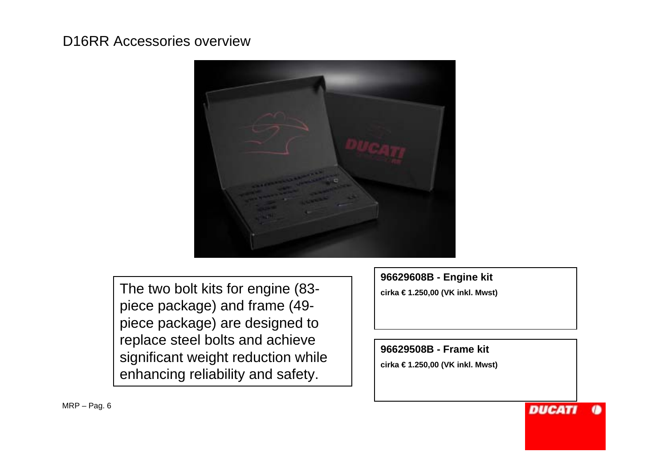

The two bolt kits for engine (83<sup>-</sup> | cirka €1.250,00 (VK inkl. Mwst) piece package) and frame (49 piece package) are designed to replace steel bolts and achieve significant weight reduction while enhancing reliability and safety.

**96629608B - Engine kit** 

**96629508B - Frame kit** 

**cirka € 1.250,00 (VK inkl. Mwst)**

**DUCATI**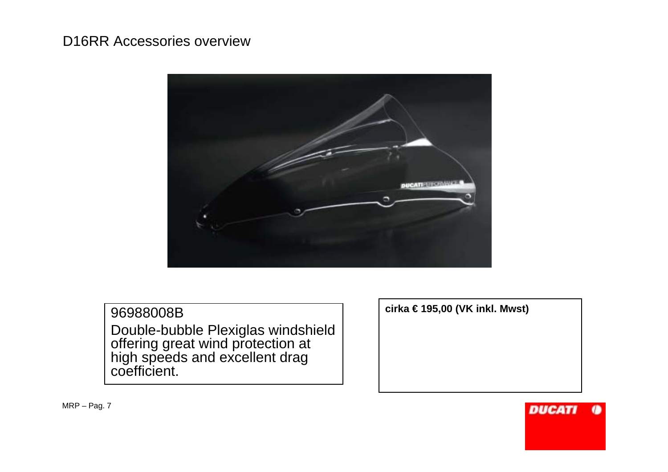

### 96988008BDouble-bubble Plexiglas windshield offering great wind protection at high speeds and excellent drag coefficient.

**cirka € 195,00 (VK inkl. Mwst)**

MRP – Pag. 7

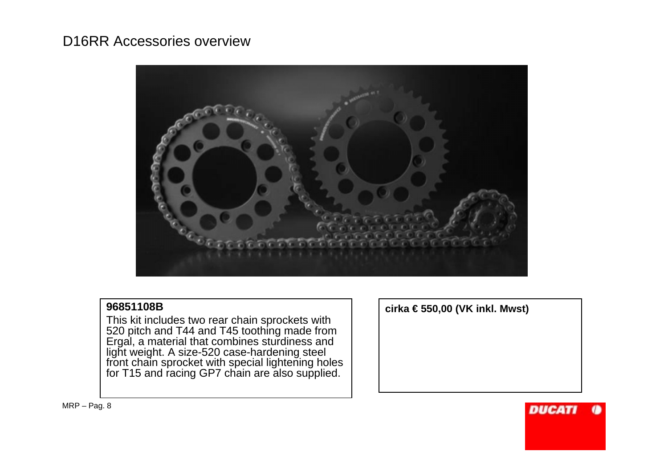

#### **96851108B**

 This kit includes two rear chain sprockets with 520 pitch and T44 and T45 toothing made from Ergal, a material that combines sturdiness and light weight. A size-520 case-hardening steel front chain sprocket with special lightening holes for T15 and racing GP7 chain are also supplied.

**cirka € 550,00 (VK inkl. Mwst)**

**DUCAT**